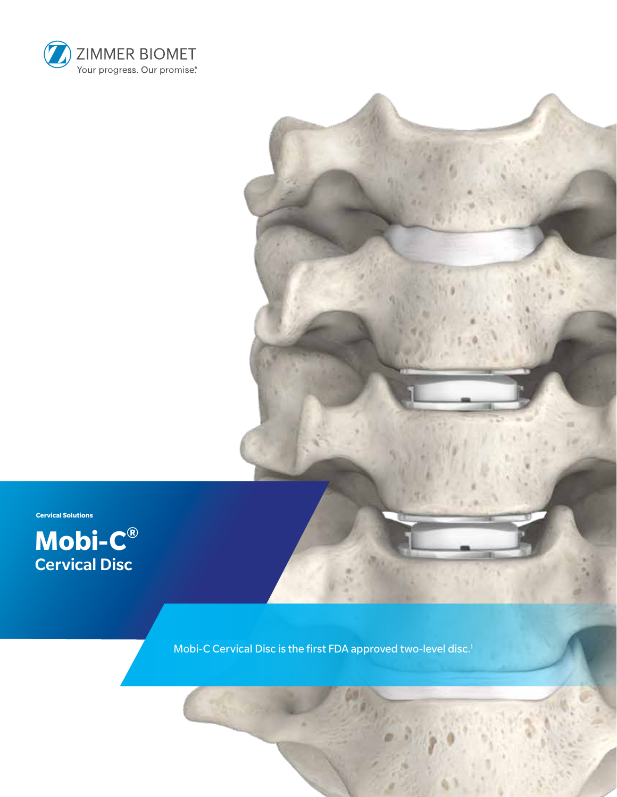



**Cervical Solutions**



Mobi-C Cervical Disc is the first FDA approved two-level disc.<sup>1</sup>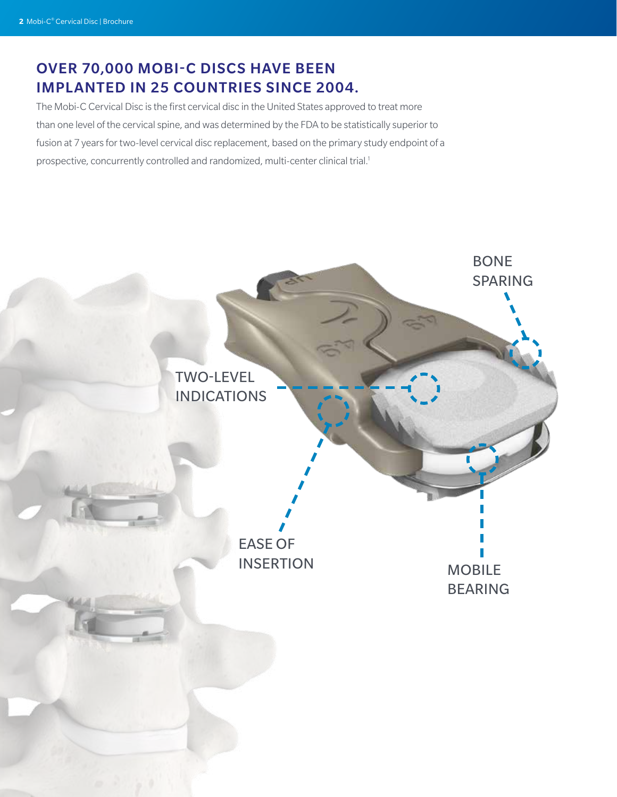# OVER 70,000 MOBI-C DISCS HAVE BEEN IMPLANTED IN 25 COUNTRIES SINCE 2004.

The Mobi-C Cervical Disc is the first cervical disc in the United States approved to treat more than one level of the cervical spine, and was determined by the FDA to be statistically superior to fusion at 7 years for two-level cervical disc replacement, based on the primary study endpoint of a prospective, concurrently controlled and randomized, multi-center clinical trial.<sup>1</sup>

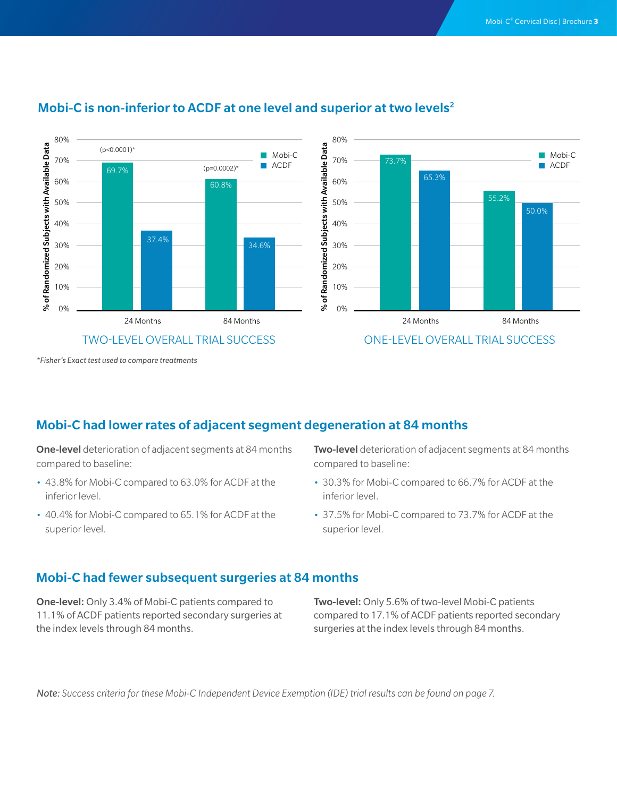

### Mobi-C is non-inferior to ACDF at one level and superior at two levels<sup>2</sup>



*\*Fisher's Exact test used to compare treatments*

### Mobi-C had lower rates of adjacent segment degeneration at 84 months

**One-level** deterioration of adjacent segments at 84 months compared to baseline:

- 43.8% for Mobi-C compared to 63.0% for ACDF at the inferior level.
- 40.4% for Mobi-C compared to 65.1% for ACDF at the superior level.

**Two-level** deterioration of adjacent segments at 84 months compared to baseline:

- 30.3% for Mobi-C compared to 66.7% for ACDF at the inferior level.
- 37.5% for Mobi-C compared to 73.7% for ACDF at the superior level.

#### Mobi-C had fewer subsequent surgeries at 84 months

One-level: Only 3.4% of Mobi-C patients compared to 11.1% of ACDF patients reported secondary surgeries at the index levels through 84 months.

Two-level: Only 5.6% of two-level Mobi-C patients compared to 17.1% of ACDF patients reported secondary surgeries at the index levels through 84 months.

*Note: Success criteria for these Mobi-C Independent Device Exemption (IDE) trial results can be found on page 7.*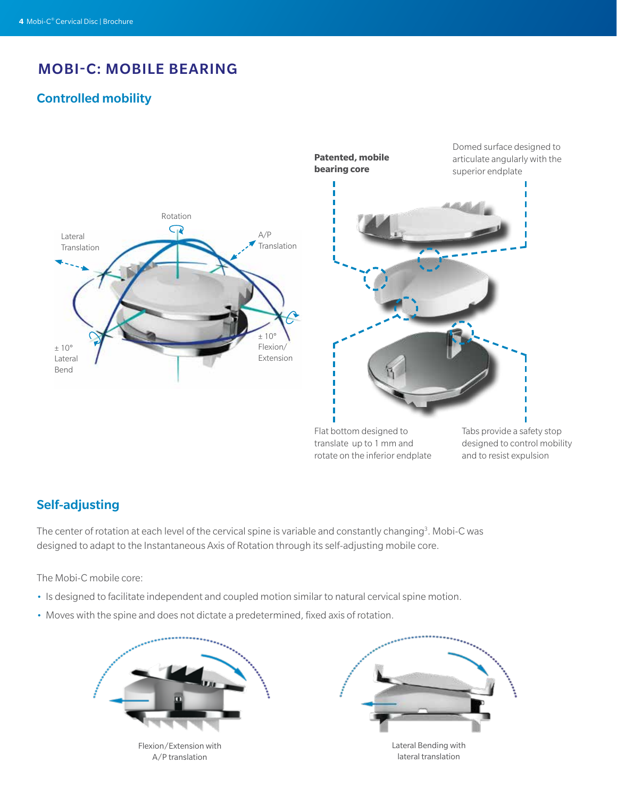# MOBI-C: MOBILE BEARING

## Controlled mobility





Flat bottom designed to translate up to 1 mm and rotate on the inferior endplate

Tabs provide a safety stop designed to control mobility and to resist expulsion

### Self-adjusting

The center of rotation at each level of the cervical spine is variable and constantly changing<sup>3</sup>. Mobi-C was designed to adapt to the Instantaneous Axis of Rotation through its self-adjusting mobile core.

The Mobi-C mobile core:

- Is designed to facilitate independent and coupled motion similar to natural cervical spine motion.
- Moves with the spine and does not dictate a predetermined, fixed axis of rotation.



Flexion/Extension with A/P translation

Lateral Bending with lateral translation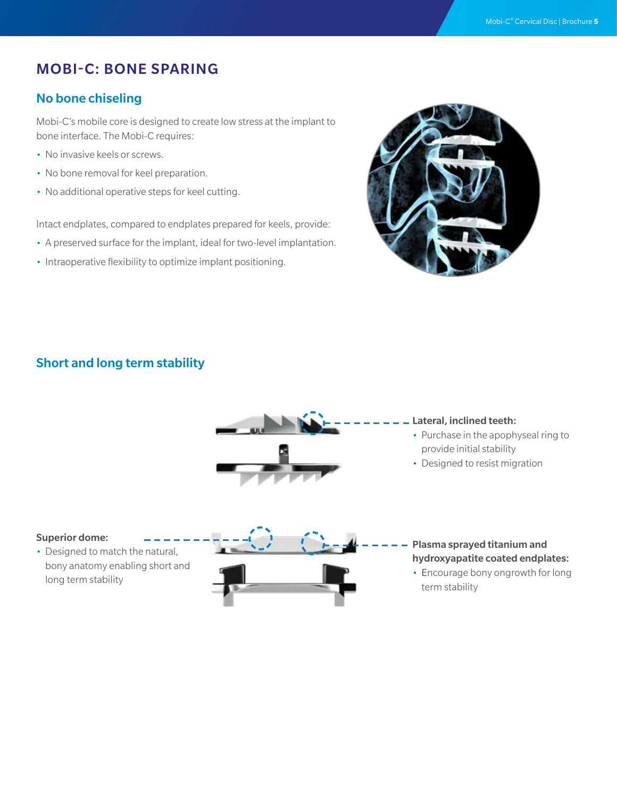# MOBI-C: BONE SPARING

### No bone chiseling

Mobi-C's mobile core is designed to create low stress at the implant to bone interface. The Mobi-C requires:

- No invasive keels or screws.
- No bone removal for keel preparation.
- No additional operative steps for keel cutting.

Intact endplates, compared to endplates prepared for keels, provide:

- A preserved surface for the implant, ideal for two-level implantation.
- Intraoperative flexibility to optimize implant positioning.



### Short and long term stability



#### Lateral, inclined teeth:

- Purchase in the apophyseal ring to provide initial stability
- Designed to resist migration

#### Superior dome:

• Designed to match the natural, bony anatomy enabling short and long term stability



#### Plasma sprayed titanium and hydroxyapatite coated endplates:

• Encourage bony ongrowth for long term stability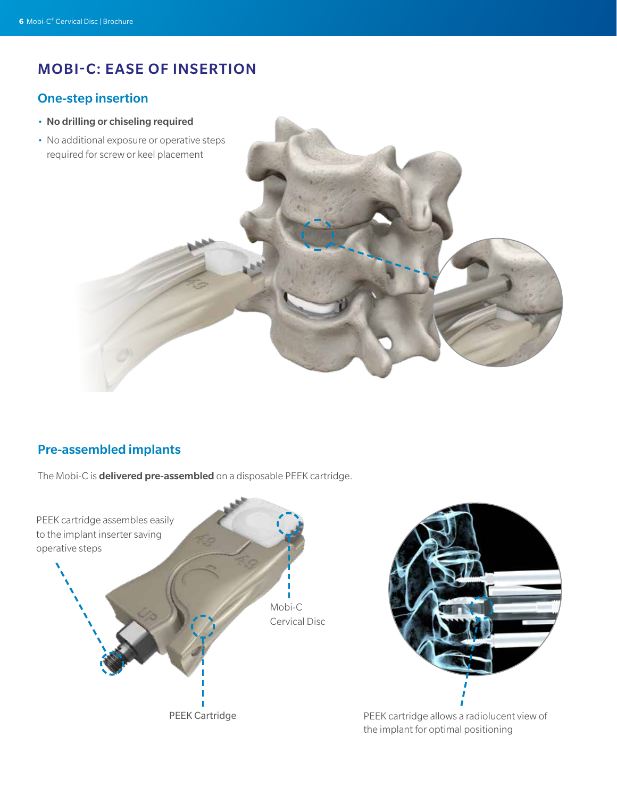# MOBI-C: EASE OF INSERTION

### One-step insertion

- No drilling or chiseling required
- No additional exposure or operative steps required for screw or keel placement



### Pre-assembled implants

The Mobi-C is **delivered pre-assembled** on a disposable PEEK cartridge.

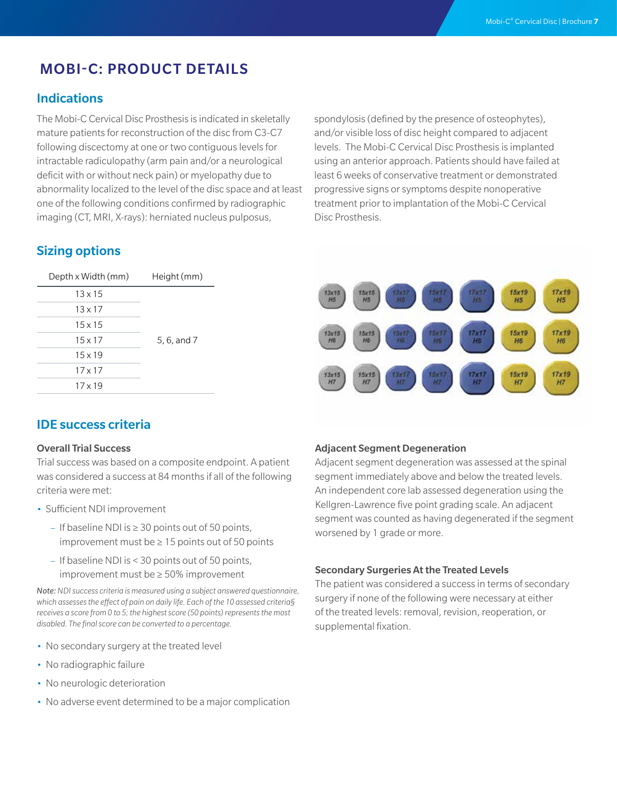# MOBI-C: PRODUCT DETAILS

#### Indications

The Mobi-C Cervical Disc Prosthesis is indicated in skeletally mature patients for reconstruction of the disc from C3-C7 following discectomy at one or two contiguous levels for intractable radiculopathy (arm pain and/or a neurological deficit with or without neck pain) or myelopathy due to abnormality localized to the level of the disc space and at least one of the following conditions confirmed by radiographic imaging (CT, MRI, X-rays): herniated nucleus pulposus,

spondylosis (defined by the presence of osteophytes), and/or visible loss of disc height compared to adjacent levels. The Mobi-C Cervical Disc Prosthesis is implanted using an anterior approach. Patients should have failed at least 6 weeks of conservative treatment or demonstrated progressive signs or symptoms despite nonoperative treatment prior to implantation of the Mobi-C Cervical Disc Prosthesis.

### Sizing options

| Depth x Width (mm) | Height (mm) |
|--------------------|-------------|
| $13 \times 15$     | 5, 6, and 7 |
| $13 \times 17$     |             |
| $15 \times 15$     |             |
| $15 \times 17$     |             |
| $15 \times 19$     |             |
| $17 \times 17$     |             |
| $17 \times 19$     |             |

#### 13x15<br>H5  $15x19$  $17x19$  $H<sub>5</sub>$ H5  $H<sub>5</sub>$  $15x19$  $17x19$  $13x15$  $\frac{17 \times 1}{116}$  $15x1!$ H6 H6 H6 H6  $15x19$ 17x19 H7

#### IDE success criteria

#### Overall Trial Success

Trial success was based on a composite endpoint. A patient was considered a success at 84 months if all of the following criteria were met:

- Sufficient NDI improvement
	- If baseline NDI is ≥ 30 points out of 50 points, improvement must be ≥ 15 points out of 50 points
	- If baseline NDI is < 30 points out of 50 points, improvement must be ≥ 50% improvement

*Note: NDI success criteria is measured using a subject answered questionnaire, which assesses the effect of pain on daily life. Each of the 10 assessed criteria§ receives a score from 0 to 5; the highest score (50 points) represents the most disabled. The final score can be converted to a percentage.*

- No secondary surgery at the treated level
- No radiographic failure
- No neurologic deterioration
- No adverse event determined to be a major complication

#### Adjacent Segment Degeneration

Adjacent segment degeneration was assessed at the spinal segment immediately above and below the treated levels. An independent core lab assessed degeneration using the Kellgren-Lawrence five point grading scale. An adjacent segment was counted as having degenerated if the segment worsened by 1 grade or more.

#### Secondary Surgeries At the Treated Levels

The patient was considered a success in terms of secondary surgery if none of the following were necessary at either of the treated levels: removal, revision, reoperation, or supplemental fixation.